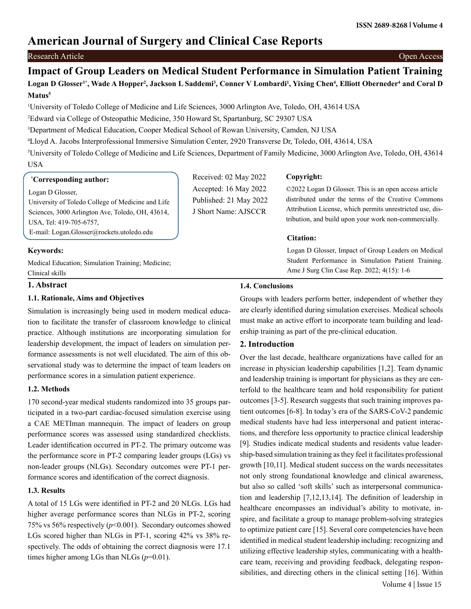# **American Journal of Surgery and Clinical Case Reports**

## Research Article Open Access

## Logan D Glosser<sup>1\*</sup>, Wade A Hopper<sup>2</sup>, Jackson L Saddemi<sup>3</sup>, Conner V Lombardi<sup>1</sup>, Yixing Chen<sup>4</sup>, Elliott Oberneder<sup>4</sup> and Coral D **Matus5 Impact of Group Leaders on Medical Student Performance in Simulation Patient Training**

1 University of Toledo College of Medicine and Life Sciences, 3000 Arlington Ave, Toledo, OH, 43614 USA

2 Edward via College of Osteopathic Medicine, 350 Howard St, Spartanburg, SC 29307 USA

3 Department of Medical Education, Cooper Medical School of Rowan University, Camden, NJ USA

4 Lloyd A. Jacobs Interprofessional Immersive Simulation Center, 2920 Transverse Dr, Toledo, OH, 43614, USA

5 University of Toledo College of Medicine and Life Sciences, Department of Family Medicine, 3000 Arlington Ave, Toledo, OH, 43614 USA

#### **\* Corresponding author:**

Logan D Glosser,

University of Toledo College of Medicine and Life Sciences, 3000 Arlington Ave, Toledo, OH, 43614, USA, Tel: 419-705-6757, E-mail: Logan.Glosser@rockets.utoledo.edu

**Keywords:**

Medical Education; Simulation Training; Medicine; Clinical skills

## **1. Abstract**

## **1.1. Rationale, Aims and Objectives**

Simulation is increasingly being used in modern medical education to facilitate the transfer of classroom knowledge to clinical practice. Although institutions are incorporating simulation for leadership development, the impact of leaders on simulation performance assessments is not well elucidated. The aim of this observational study was to determine the impact of team leaders on performance scores in a simulation patient experience.

## **1.2. Methods**

170 second-year medical students randomized into 35 groups participated in a two-part cardiac-focused simulation exercise using a CAE METIman mannequin. The impact of leaders on group performance scores was assessed using standardized checklists. Leader identification occurred in PT-2. The primary outcome was the performance score in PT-2 comparing leader groups (LGs) vs non-leader groups (NLGs). Secondary outcomes were PT-1 performance scores and identification of the correct diagnosis.

## **1.3. Results**

A total of 15 LGs were identified in PT-2 and 20 NLGs. LGs had higher average performance scores than NLGs in PT-2, scoring 75% vs 56% respectively (*p*<0.001). Secondary outcomes showed LGs scored higher than NLGs in PT-1, scoring 42% vs 38% respectively. The odds of obtaining the correct diagnosis were 17.1 times higher among LGs than NLGs (*p*=0.01).

Received: 02 May 2022 Accepted: 16 May 2022 Published: 21 May 2022 J Short Name: AJSCCR

## **Copyright:**

©2022 Logan D Glosser. This is an open access article distributed under the terms of the Creative Commons Attribution License, which permits unrestricted use, distribution, and build upon your work non-commercially.

#### **Citation:**

Logan D Glosser, Impact of Group Leaders on Medical Student Performance in Simulation Patient Training. Ame J Surg Clin Case Rep. 2022; 4(15): 1-6

## **1.4. Conclusions**

Groups with leaders perform better, independent of whether they are clearly identified during simulation exercises. Medical schools must make an active effort to incorporate team building and leadership training as part of the pre-clinical education.

## **2. Introduction**

 Volume 4 | Issue 15 Over the last decade, healthcare organizations have called for an increase in physician leadership capabilities [1,2]. Team dynamic and leadership training is important for physicians as they are centerfold to the healthcare team and hold responsibility for patient outcomes [3-5]. Research suggests that such training improves patient outcomes [6-8]. In today's era of the SARS-CoV-2 pandemic medical students have had less interpersonal and patient interactions, and therefore less opportunity to practice clinical leadership [9]. Studies indicate medical students and residents value leadership-based simulation training as they feel it facilitates professional growth [10,11]. Medical student success on the wards necessitates not only strong foundational knowledge and clinical awareness, but also so called 'soft skills' such as interpersonal communication and leadership [7,12,13,14]. The definition of leadership in healthcare encompasses an individual's ability to motivate, inspire, and facilitate a group to manage problem-solving strategies to optimize patient care [15]. Several core competencies have been identified in medical student leadership including: recognizing and utilizing effective leadership styles, communicating with a healthcare team, receiving and providing feedback, delegating responsibilities, and directing others in the clinical setting [16]. Within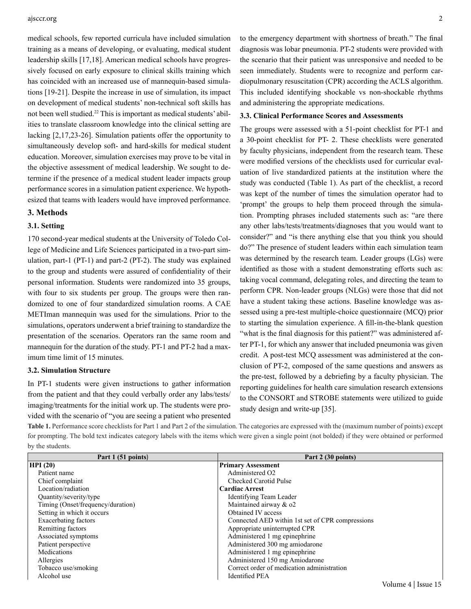#### ajsccr.org 2

medical schools, few reported curricula have included simulation training as a means of developing, or evaluating, medical student leadership skills [17,18]. American medical schools have progressively focused on early exposure to clinical skills training which has coincided with an increased use of mannequin-based simulations [19-21]. Despite the increase in use of simulation, its impact on development of medical students' non-technical soft skills has not been well studied.22 This is important as medical students' abilities to translate classroom knowledge into the clinical setting are lacking [2,17,23-26]. Simulation patients offer the opportunity to simultaneously develop soft- and hard-skills for medical student education. Moreover, simulation exercises may prove to be vital in the objective assessment of medical leadership. We sought to determine if the presence of a medical student leader impacts group performance scores in a simulation patient experience. We hypothesized that teams with leaders would have improved performance.

#### **3. Methods**

## **3.1. Setting**

170 second-year medical students at the University of Toledo College of Medicine and Life Sciences participated in a two-part simulation, part-1 (PT-1) and part-2 (PT-2). The study was explained to the group and students were assured of confidentiality of their personal information. Students were randomized into 35 groups, with four to six students per group. The groups were then randomized to one of four standardized simulation rooms. A CAE METIman mannequin was used for the simulations. Prior to the simulations, operators underwent a brief training to standardize the presentation of the scenarios. Operators ran the same room and mannequin for the duration of the study. PT-1 and PT-2 had a maximum time limit of 15 minutes.

#### **3.2. Simulation Structure**

In PT-1 students were given instructions to gather information from the patient and that they could verbally order any labs/tests/ imaging/treatments for the initial work up. The students were provided with the scenario of "you are seeing a patient who presented to the emergency department with shortness of breath." The final diagnosis was lobar pneumonia. PT-2 students were provided with the scenario that their patient was unresponsive and needed to be seen immediately. Students were to recognize and perform cardiopulmonary resuscitation (CPR) according the ACLS algorithm. This included identifying shockable vs non-shockable rhythms and administering the appropriate medications.

#### **3.3. Clinical Performance Scores and Assessments**

The groups were assessed with a 51-point checklist for PT-1 and a 30-point checklist for PT- 2. These checklists were generated by faculty physicians, independent from the research team. These were modified versions of the checklists used for curricular evaluation of live standardized patients at the institution where the study was conducted (Table 1). As part of the checklist, a record was kept of the number of times the simulation operator had to 'prompt' the groups to help them proceed through the simulation. Prompting phrases included statements such as: "are there any other labs/tests/treatments/diagnoses that you would want to consider?" and "is there anything else that you think you should do?" The presence of student leaders within each simulation team was determined by the research team. Leader groups (LGs) were identified as those with a student demonstrating efforts such as: taking vocal command, delegating roles, and directing the team to perform CPR. Non-leader groups (NLGs) were those that did not have a student taking these actions. Baseline knowledge was assessed using a pre-test multiple-choice questionnaire (MCQ) prior to starting the simulation experience. A fill-in-the-blank question "what is the final diagnosis for this patient?" was administered after PT-1, for which any answer that included pneumonia was given credit. A post-test MCQ assessment was administered at the conclusion of PT-2, composed of the same questions and answers as the pre-test, followed by a debriefing by a faculty physician. The reporting guidelines for health care simulation research extensions to the CONSORT and STROBE statements were utilized to guide study design and write-up [35].

**Table 1.** Performance score checklists for Part 1 and Part 2 of the simulation. The categories are expressed with the (maximum number of points) except for prompting. The bold text indicates category labels with the items which were given a single point (not bolded) if they were obtained or performed by the students.

| Part 1 (51 points)                | Part 2 (30 points)                               |  |  |
|-----------------------------------|--------------------------------------------------|--|--|
| HPI(20)                           | <b>Primary Assessment</b>                        |  |  |
| Patient name                      | Administered O2                                  |  |  |
| Chief complaint                   | <b>Checked Carotid Pulse</b>                     |  |  |
| Location/radiation                | <b>Cardiac Arrest</b>                            |  |  |
| Quantity/severity/type            | Identifying Team Leader                          |  |  |
| Timing (Onset/frequency/duration) | Maintained airway & o2                           |  |  |
| Setting in which it occurs        | Obtained IV access                               |  |  |
| Exacerbating factors              | Connected AED within 1st set of CPR compressions |  |  |
| Remitting factors                 | Appropriate uninterrupted CPR                    |  |  |
| Associated symptoms               | Administered 1 mg epinephrine                    |  |  |
| Patient perspective               | Administered 300 mg amiodarone                   |  |  |
| Medications                       | Administered 1 mg epinephrine                    |  |  |
| Allergies                         | Administered 150 mg Amiodarone                   |  |  |
| Tobacco use/smoking               | Correct order of medication administration       |  |  |
| Alcohol use                       | <b>Identified PEA</b>                            |  |  |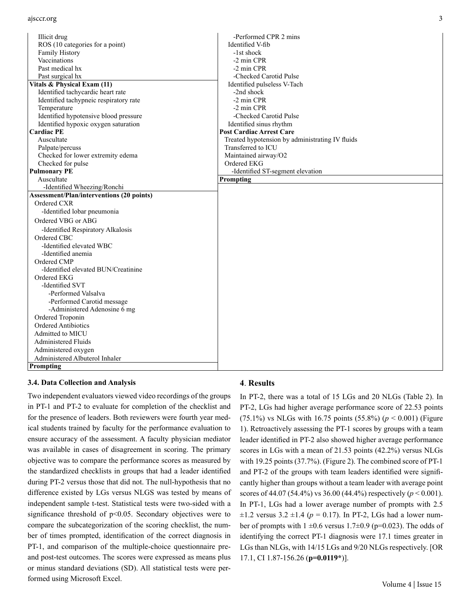| Illicit drug                                     | -Performed CPR 2 mins                           |
|--------------------------------------------------|-------------------------------------------------|
| ROS (10 categories for a point)                  | Identified V-fib                                |
| Family History                                   | -1st shock                                      |
| Vaccinations                                     | -2 min CPR                                      |
| Past medical hx                                  | -2 min CPR                                      |
| Past surgical hx                                 | -Checked Carotid Pulse                          |
| Vitals & Physical Exam (11)                      | Identified pulseless V-Tach                     |
| Identified tachycardic heart rate                | -2nd shock                                      |
| Identified tachypneic respiratory rate           | -2 min CPR                                      |
| Temperature                                      | -2 min CPR                                      |
| Identified hypotensive blood pressure            | -Checked Carotid Pulse                          |
| Identified hypoxic oxygen saturation             | Identified sinus rhythm                         |
| <b>Cardiac PE</b>                                | <b>Post Cardiac Arrest Care</b>                 |
| Auscultate                                       | Treated hypotension by administrating IV fluids |
| Palpate/percuss                                  | Transferred to ICU                              |
| Checked for lower extremity edema                | Maintained airway/O2                            |
| Checked for pulse                                | Ordered EKG                                     |
| <b>Pulmonary PE</b>                              | -Identified ST-segment elevation                |
| Auscultate                                       | Prompting                                       |
| -Identified Wheezing/Ronchi                      |                                                 |
| <b>Assessment/Plan/interventions (20 points)</b> |                                                 |
| Ordered CXR                                      |                                                 |
| -Identified lobar pneumonia                      |                                                 |
| Ordered VBG or ABG                               |                                                 |
| -Identified Respiratory Alkalosis                |                                                 |
| Ordered CBC                                      |                                                 |
| -Identified elevated WBC                         |                                                 |
| -Identified anemia                               |                                                 |
| Ordered CMP                                      |                                                 |
| -Identified elevated BUN/Creatinine              |                                                 |
| Ordered EKG                                      |                                                 |
| -Identified SVT                                  |                                                 |
| -Performed Valsalva                              |                                                 |
| -Performed Carotid message                       |                                                 |
| -Administered Adenosine 6 mg                     |                                                 |
| Ordered Troponin                                 |                                                 |
| Ordered Antibiotics                              |                                                 |
| Admitted to MICU                                 |                                                 |
| <b>Administered Fluids</b>                       |                                                 |
| Administered oxygen                              |                                                 |
| Administered Albuterol Inhaler                   |                                                 |
| Prompting                                        |                                                 |

#### **3.4. Data Collection and Analysis**

Two independent evaluators viewed video recordings of the groups in PT-1 and PT-2 to evaluate for completion of the checklist and for the presence of leaders. Both reviewers were fourth year medical students trained by faculty for the performance evaluation to ensure accuracy of the assessment. A faculty physician mediator was available in cases of disagreement in scoring. The primary objective was to compare the performance scores as measured by the standardized checklists in groups that had a leader identified during PT-2 versus those that did not. The null-hypothesis that no difference existed by LGs versus NLGS was tested by means of independent sample t-test. Statistical tests were two-sided with a significance threshold of p<0.05. Secondary objectives were to compare the subcategorization of the scoring checklist, the number of times prompted, identification of the correct diagnosis in PT-1, and comparison of the multiple-choice questionnaire preand post-test outcomes. The scores were expressed as means plus or minus standard deviations (SD). All statistical tests were performed using Microsoft Excel.

#### **4**. **Results**

In PT-2, there was a total of 15 LGs and 20 NLGs (Table 2). In PT-2, LGs had higher average performance score of 22.53 points (75.1%) vs NLGs with 16.75 points (55.8%) (*p* < 0.001) (Figure 1). Retroactively assessing the PT-1 scores by groups with a team leader identified in PT-2 also showed higher average performance scores in LGs with a mean of 21.53 points (42.2%) versus NLGs with 19.25 points (37.7%). (Figure 2). The combined score of PT-1 and PT-2 of the groups with team leaders identified were significantly higher than groups without a team leader with average point scores of 44.07 (54.4%) vs 36.00 (44.4%) respectively (*p* < 0.001). In PT-1, LGs had a lower average number of prompts with 2.5  $\pm 1.2$  versus 3.2  $\pm 1.4$  ( $p = 0.17$ ). In PT-2, LGs had a lower number of prompts with  $1 \pm 0.6$  versus  $1.7\pm 0.9$  (p=0.023). The odds of identifying the correct PT-1 diagnosis were 17.1 times greater in LGs than NLGs, with 14/15 LGs and 9/20 NLGs respectively. [OR 17.1, CI 1.87-156.26 (**p=0.0119\***)].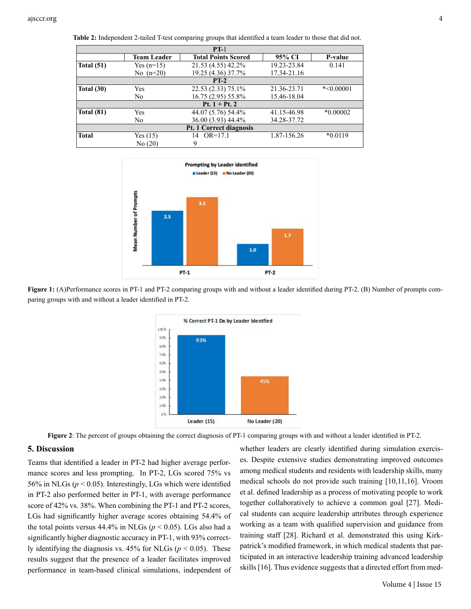| $PT-1$                  |                    |                            |             |             |  |  |
|-------------------------|--------------------|----------------------------|-------------|-------------|--|--|
|                         | <b>Team Leader</b> | <b>Total Points Scored</b> | 95% CI      | P-value     |  |  |
| Total $(51)$            | Yes $(n=15)$       | 21.53 (4.55) 42.2%         | 19.23-23.84 | 0.141       |  |  |
|                         | No $(n=20)$        | 19.25 (4.36) 37.7%         | 17.34-21.16 |             |  |  |
| $PT-2$                  |                    |                            |             |             |  |  |
| Total $(30)$            | Yes                | 22.53 (2.33) 75.1%         | 21.36-23.71 | $*<0.00001$ |  |  |
|                         | No.                | 16.75 (2.95) 55.8%         | 15.46-18.04 |             |  |  |
| Pt. $1 + Pt.2$          |                    |                            |             |             |  |  |
| <b>Total (81)</b>       | Yes                | 44.07 (5.76) 54.4%         | 41.15-46.98 | $*0.00002$  |  |  |
|                         | N <sub>0</sub>     | 36.00 (3.93) 44.4%         | 34.28-37.72 |             |  |  |
| Pt. 1 Correct diagnosis |                    |                            |             |             |  |  |
| <b>Total</b>            | Yes(15)            | $OR=17.1$<br>14            | 1.87-156.26 | $*0.0119$   |  |  |
|                         | No(20)             | 9                          |             |             |  |  |

**Table 2:** Independent 2-tailed T-test comparing groups that identified a team leader to those that did not.



**Figure 1:** (A)Performance scores in PT-1 and PT-2 comparing groups with and without a leader identified during PT-2. (B) Number of prompts comparing groups with and without a leader identified in PT-2.



**Figure 2**: The percent of groups obtaining the correct diagnosis of PT-1 comparing groups with and without a leader identified in PT-2.

## **5. Discussion**

Teams that identified a leader in PT-2 had higher average performance scores and less prompting. In PT-2, LGs scored 75% vs 56% in NLGs ( $p < 0.05$ ). Interestingly, LGs which were identified in PT-2 also performed better in PT-1, with average performance score of 42% vs. 38%. When combining the PT-1 and PT-2 scores, LGs had significantly higher average scores obtaining 54.4% of the total points versus  $44.4\%$  in NLGs ( $p < 0.05$ ). LGs also had a significantly higher diagnostic accuracy in PT-1, with 93% correctly identifying the diagnosis vs.  $45\%$  for NLGs ( $p < 0.05$ ). These results suggest that the presence of a leader facilitates improved performance in team-based clinical simulations, independent of

whether leaders are clearly identified during simulation exercises. Despite extensive studies demonstrating improved outcomes among medical students and residents with leadership skills, many medical schools do not provide such training [10,11,16]. Vroom et al. defined leadership as a process of motivating people to work together collaboratively to achieve a common goal [27]. Medical students can acquire leadership attributes through experience working as a team with qualified supervision and guidance from training staff [28]. Richard et al. demonstrated this using Kirkpatrick's modified framework, in which medical students that participated in an interactive leadership training advanced leadership skills [16]. Thus evidence suggests that a directed effort from med-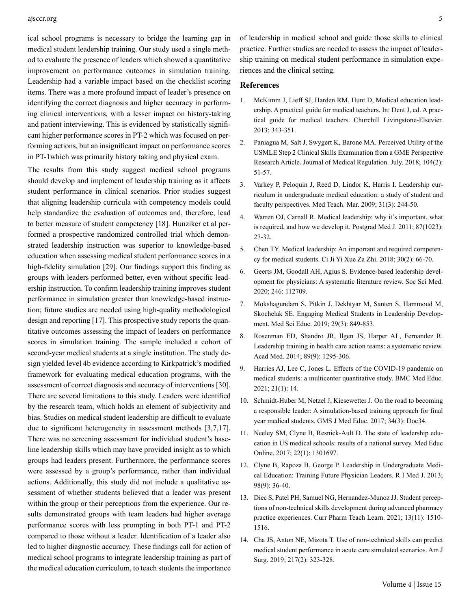#### ajsccr.org 5

ical school programs is necessary to bridge the learning gap in medical student leadership training. Our study used a single method to evaluate the presence of leaders which showed a quantitative improvement on performance outcomes in simulation training. Leadership had a variable impact based on the checklist scoring items. There was a more profound impact of leader's presence on identifying the correct diagnosis and higher accuracy in performing clinical interventions, with a lesser impact on history-taking and patient interviewing. This is evidenced by statistically significant higher performance scores in PT-2 which was focused on performing actions, but an insignificant impact on performance scores in PT-1which was primarily history taking and physical exam.

The results from this study suggest medical school programs should develop and implement of leadership training as it affects student performance in clinical scenarios. Prior studies suggest that aligning leadership curricula with competency models could help standardize the evaluation of outcomes and, therefore, lead to better measure of student competency [18]. Hunziker et al performed a prospective randomized controlled trial which demonstrated leadership instruction was superior to knowledge-based education when assessing medical student performance scores in a high-fidelity simulation [29]. Our findings support this finding as groups with leaders performed better, even without specific leadership instruction. To confirm leadership training improves student performance in simulation greater than knowledge-based instruction; future studies are needed using high-quality methodological design and reporting [17]. This prospective study reports the quantitative outcomes assessing the impact of leaders on performance scores in simulation training. The sample included a cohort of second-year medical students at a single institution. The study design yielded level 4b evidence according to Kirkpatrick's modified framework for evaluating medical education programs, with the assessment of correct diagnosis and accuracy of interventions [30]. There are several limitations to this study. Leaders were identified by the research team, which holds an element of subjectivity and bias. Studies on medical student leadership are difficult to evaluate due to significant heterogeneity in assessment methods [3,7,17]. There was no screening assessment for individual student's baseline leadership skills which may have provided insight as to which groups had leaders present. Furthermore, the performance scores were assessed by a group's performance, rather than individual actions. Additionally, this study did not include a qualitative assessment of whether students believed that a leader was present within the group or their perceptions from the experience. Our results demonstrated groups with team leaders had higher average performance scores with less prompting in both PT-1 and PT-2 compared to those without a leader. Identification of a leader also led to higher diagnostic accuracy. These findings call for action of medical school programs to integrate leadership training as part of the medical education curriculum, to teach students the importance

of leadership in medical school and guide those skills to clinical practice. Further studies are needed to assess the impact of leadership training on medical student performance in simulation experiences and the clinical setting.

## **References**

- 1. [McKimm J, Lieff SJ, Harden RM, Hunt D, Medical education lead](https://www.elsevier.com/books/a-practical-guide-for-medical-teachers/dent/978-0-7020-8170-5)[ership. A practical guide for medical teachers. In: Dent J, ed. A prac](https://www.elsevier.com/books/a-practical-guide-for-medical-teachers/dent/978-0-7020-8170-5)[tical guide for medical teachers. Churchill Livingstone-Elsevier.](https://www.elsevier.com/books/a-practical-guide-for-medical-teachers/dent/978-0-7020-8170-5) [2013; 343-351.](https://www.elsevier.com/books/a-practical-guide-for-medical-teachers/dent/978-0-7020-8170-5)
- 2. [Paniagua M, Salt J, Swygert K, Barone MA. Perceived Utility of the](https://www.ncbi.nlm.nih.gov/pmc/articles/PMC8437080/) [USMLE Step 2 Clinical Skills Examination from a GME Perspective](https://www.ncbi.nlm.nih.gov/pmc/articles/PMC8437080/)  [Research Article. Journal of Medical Regulation. July. 2018; 104\(2\):](https://www.ncbi.nlm.nih.gov/pmc/articles/PMC8437080/) [51-57.](https://www.ncbi.nlm.nih.gov/pmc/articles/PMC8437080/)
- 3. [Varkey P, Peloquin J, Reed D, Lindor K, Harris I. Leadership cur](doi:10.1080/01421590802144278)[riculum in undergraduate medical education: a study of student and](doi:10.1080/01421590802144278) [faculty perspectives. Med Teach. Mar. 2009; 31\(3\): 244-50.](doi:10.1080/01421590802144278)
- 4. [Warren OJ, Carnall R. Medical leadership: why it's important, what](doi:10.1136/pgmj.2009.093807)  [is required, and how we develop it. Postgrad Med J. 2011; 87\(1023\):](doi:10.1136/pgmj.2009.093807) [27-32.](doi:10.1136/pgmj.2009.093807)
- 5. [Chen TY. Medical leadership: An important and required competen](doi:10.4103/tcmj.tcmj_26_18)[cy for medical students. Ci Ji Yi Xue Za Zhi. 2018; 30\(2\): 66-70.](doi:10.4103/tcmj.tcmj_26_18)
- 6. [Geerts JM, Goodall AH, Agius S. Evidence-based leadership devel](doi:10.1016/j.socscimed.2019.112709)[opment for physicians: A systematic literature review. Soc Sci Med.](doi:10.1016/j.socscimed.2019.112709)  [2020; 246: 112709.](doi:10.1016/j.socscimed.2019.112709)
- 7. [Mokshagundam S, Pitkin J, Dekhtyar M, Santen S, Hammoud M,](doi:10.1007/s40670-019-00754-w)  [Skochelak SE. Engaging Medical Students in Leadership Develop](doi:10.1007/s40670-019-00754-w)[ment. Med Sci Educ. 2019; 29\(3\): 849-853.](doi:10.1007/s40670-019-00754-w)
- 8. [Rosenman ED, Shandro JR, Ilgen JS, Harper AL, Fernandez R.](doi:10.1097/ACM.0000000000000413) [Leadership training in health care action teams: a systematic review.](doi:10.1097/ACM.0000000000000413) [Acad Med. 2014; 89\(9\): 1295-306.](doi:10.1097/ACM.0000000000000413)
- 9. [Harries AJ, Lee C, Jones L. Effects of the COVID-19 pandemic on](doi:10.1186/s12909-020-02462-1) [medical students: a multicenter quantitative study. BMC Med Educ.](doi:10.1186/s12909-020-02462-1) [2021; 21\(1\): 14.](doi:10.1186/s12909-020-02462-1)
- 10. [Schmidt-Huber M, Netzel J, Kiesewetter J. On the road to becoming](doi:10.3205/zma001111)  [a responsible leader: A simulation-based training approach for final](doi:10.3205/zma001111) [year medical students. GMS J Med Educ. 2017; 34\(3\): Doc34.](doi:10.3205/zma001111)
- 11. [Neeley SM, Clyne B, Resnick-Ault D. The state of leadership edu](doi:10.1080/10872981.2017.1301697)[cation in US medical schools: results of a national survey. Med Educ](doi:10.1080/10872981.2017.1301697)  [Online. 2017; 22\(1\): 1301697.](doi:10.1080/10872981.2017.1301697)
- 12. [Clyne B, Rapoza B, George P. Leadership in Undergraduate Medi](https://pubmed.ncbi.nlm.nih.gov/26324974/)[cal Education: Training Future Physician Leaders. R I Med J. 2013;](https://pubmed.ncbi.nlm.nih.gov/26324974/) [98\(9\): 36-40.](https://pubmed.ncbi.nlm.nih.gov/26324974/)
- 13. [Diec S, Patel PH, Samuel NG, Hernandez-Munoz JJ. Student percep](doi:10.1016/j.cptl.2021.09.016)[tions of non-technical skills development during advanced pharmacy](doi:10.1016/j.cptl.2021.09.016) [practice experiences. Curr Pharm Teach Learn. 2021; 13\(11\): 1510-](doi:10.1016/j.cptl.2021.09.016) [1516.](doi:10.1016/j.cptl.2021.09.016)
- 14. [Cha JS, Anton NE, Mizota T. Use of non-technical skills can predict](doi:10.1016/j.amjsurg.2018.09.028) [medical student performance in acute care simulated scenarios. Am J](doi:10.1016/j.amjsurg.2018.09.028)  [Surg. 2019; 217\(2\): 323-328.](doi:10.1016/j.amjsurg.2018.09.028)